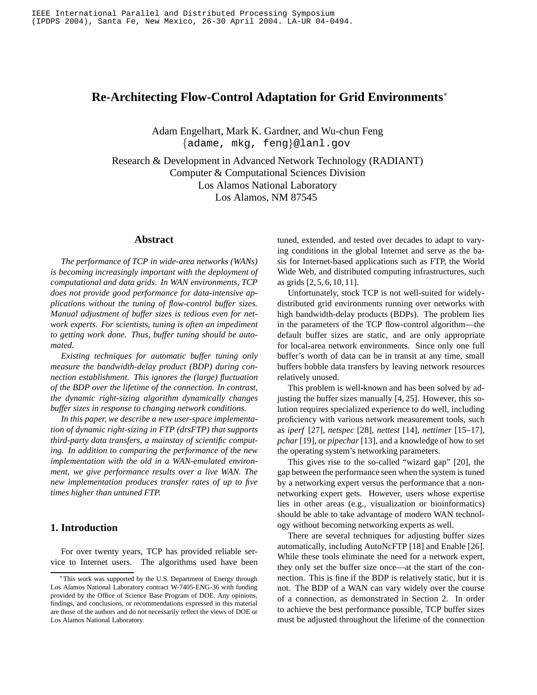# **Re-Architecting Flow-Control Adaptation for Grid Environments**<sup>∗</sup>

Adam Engelhart, Mark K. Gardner, and Wu-chun Feng {adame, mkg, feng}@lanl.gov

Research & Development in Advanced Network Technology (RADIANT) Computer & Computational Sciences Division Los Alamos National Laboratory Los Alamos, NM 87545

### **Abstract**

*The performance of TCP in wide-area networks (WANs) is becoming increasingly important with the deployment of computational and data grids. In WAN environments, TCP does not provide good performance for data-intensive applications without the tuning of flow-control buffer sizes. Manual adjustment of buffer sizes is tedious even for network experts. For scientists, tuning is often an impediment to getting work done. Thus, buffer tuning should be automated.*

*Existing techniques for automatic buffer tuning only measure the bandwidth-delay product (BDP) during connection establishment. This ignores the (large) fluctuation of the BDP over the lifetime of the connection. In contrast, the dynamic right-sizing algorithm dynamically changes buffer sizes in response to changing network conditions.*

*In this paper, we describe a new user-space implementation of dynamic right-sizing in FTP (drsFTP) that supports third-party data transfers, a mainstay of scientific computing. In addition to comparing the performance of the new implementation with the old in a WAN-emulated environment, we give performance results over a live WAN. The new implementation produces transfer rates of up to five times higher than untuned FTP.*

## **1. Introduction**

For over twenty years, TCP has provided reliable service to Internet users. The algorithms used have been tuned, extended, and tested over decades to adapt to varying conditions in the global Internet and serve as the basis for Internet-based applications such as FTP, the World Wide Web, and distributed computing infrastructures, such as grids [2, 5, 6, 10, 11].

Unfortunately, stock TCP is not well-suited for widelydistributed grid environments running over networks with high bandwidth-delay products (BDPs). The problem lies in the parameters of the TCP flow-control algorithm—the default buffer sizes are static, and are only appropriate for local-area network environments. Since only one full buffer's worth of data can be in transit at any time, small buffers hobble data transfers by leaving network resources relatively unused.

This problem is well-known and has been solved by adjusting the buffer sizes manually [4, 25]. However, this solution requires specialized experience to do well, including proficiency with various network measurement tools, such as *iperf* [27], *netspec* [28], *nettest* [14], *nettimer* [15–17], *pchar* [19], or *pipechar* [13], and a knowledge of how to set the operating system's networking parameters.

This gives rise to the so-called "wizard gap" [20], the gap between the performance seen when the system is tuned by a networking expert versus the performance that a nonnetworking expert gets. However, users whose expertise lies in other areas (e.g., visualization or bioinformatics) should be able to take advantage of modern WAN technology without becoming networking experts as well.

There are several techniques for adjusting buffer sizes automatically, including AutoNcFTP [18] and Enable [26]. While these tools eliminate the need for a network expert, they only set the buffer size once—at the start of the connection. This is fine if the BDP is relatively static, but it is not. The BDP of a WAN can vary widely over the course of a connection, as demonstrated in Section 2. In order to achieve the best performance possible, TCP buffer sizes must be adjusted throughout the lifetime of the connection

<sup>∗</sup>This work was supported by the U.S. Department of Energy through Los Alamos National Laboratory contract W-7405-ENG-36 with funding provided by the Office of Science Base Program of DOE. Any opinions, findings, and conclusions, or recommendations expressed in this material are those of the authors and do not necessarily reflect the views of DOE or Los Alamos National Laboratory.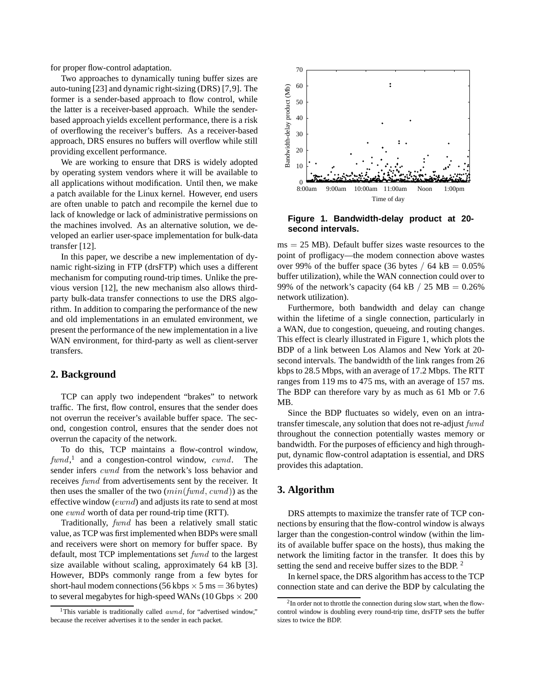for proper flow-control adaptation.

Two approaches to dynamically tuning buffer sizes are auto-tuning [23] and dynamic right-sizing (DRS) [7,9]. The former is a sender-based approach to flow control, while the latter is a receiver-based approach. While the senderbased approach yields excellent performance, there is a risk of overflowing the receiver's buffers. As a receiver-based approach, DRS ensures no buffers will overflow while still providing excellent performance.

We are working to ensure that DRS is widely adopted by operating system vendors where it will be available to all applications without modification. Until then, we make a patch available for the Linux kernel. However, end users are often unable to patch and recompile the kernel due to lack of knowledge or lack of administrative permissions on the machines involved. As an alternative solution, we developed an earlier user-space implementation for bulk-data transfer [12].

In this paper, we describe a new implementation of dynamic right-sizing in FTP (drsFTP) which uses a different mechanism for computing round-trip times. Unlike the previous version [12], the new mechanism also allows thirdparty bulk-data transfer connections to use the DRS algorithm. In addition to comparing the performance of the new and old implementations in an emulated environment, we present the performance of the new implementation in a live WAN environment, for third-party as well as client-server transfers.

## **2. Background**

TCP can apply two independent "brakes" to network traffic. The first, flow control, ensures that the sender does not overrun the receiver's available buffer space. The second, congestion control, ensures that the sender does not overrun the capacity of the network.

To do this, TCP maintains a flow-control window,  $fwnd$ , and a congestion-control window, cwnd. The sender infers cwnd from the network's loss behavior and receives *fund* from advertisements sent by the receiver. It then uses the smaller of the two  $(min(fwnd, cwnd))$  as the effective window (ewnd) and adjusts its rate to send at most one ewnd worth of data per round-trip time (RTT).

Traditionally, fwnd has been a relatively small static value, as TCP was first implemented when BDPs were small and receivers were short on memory for buffer space. By default, most TCP implementations set fwnd to the largest size available without scaling, approximately 64 kB [3]. However, BDPs commonly range from a few bytes for short-haul modem connections (56 kbps  $\times$  5 ms = 36 bytes) to several megabytes for high-speed WANs (10 Gbps  $\times$  200





**Figure 1. Bandwidth-delay product at 20 second intervals.**

 $ms = 25 MB$ ). Default buffer sizes waste resources to the point of profligacy—the modem connection above wastes over 99% of the buffer space (36 bytes /  $64$  kB = 0.05% buffer utilization), while the WAN connection could over to 99% of the network's capacity (64 kB  $/$  25 MB = 0.26%) network utilization).

Furthermore, both bandwidth and delay can change within the lifetime of a single connection, particularly in a WAN, due to congestion, queueing, and routing changes. This effect is clearly illustrated in Figure 1, which plots the BDP of a link between Los Alamos and New York at 20 second intervals. The bandwidth of the link ranges from 26 kbps to 28.5 Mbps, with an average of 17.2 Mbps. The RTT ranges from 119 ms to 475 ms, with an average of 157 ms. The BDP can therefore vary by as much as 61 Mb or 7.6 MB.

Since the BDP fluctuates so widely, even on an intratransfer timescale, any solution that does not re-adjust fwnd throughout the connection potentially wastes memory or bandwidth. For the purposes of efficiency and high throughput, dynamic flow-control adaptation is essential, and DRS provides this adaptation.

## **3. Algorithm**

DRS attempts to maximize the transfer rate of TCP connections by ensuring that the flow-control window is always larger than the congestion-control window (within the limits of available buffer space on the hosts), thus making the network the limiting factor in the transfer. It does this by setting the send and receive buffer sizes to the BDP. <sup>2</sup>

In kernel space, the DRS algorithm has access to the TCP connection state and can derive the BDP by calculating the

 $2$ In order not to throttle the connection during slow start, when the flowcontrol window is doubling every round-trip time, drsFTP sets the buffer sizes to twice the BDP.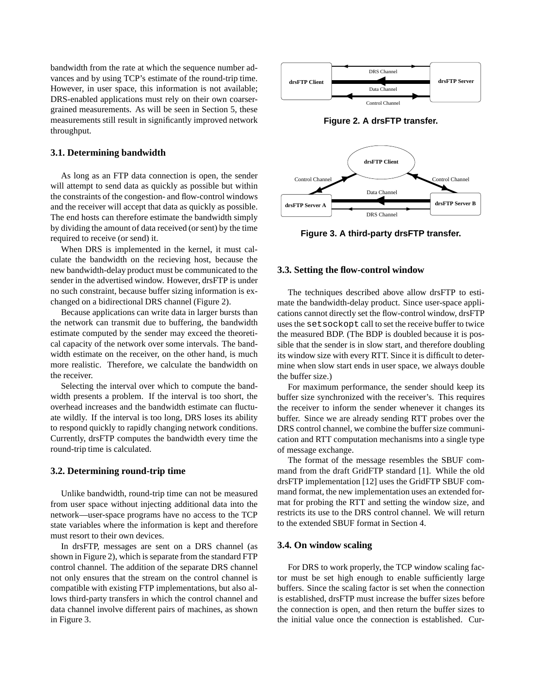bandwidth from the rate at which the sequence number advances and by using TCP's estimate of the round-trip time. However, in user space, this information is not available; DRS-enabled applications must rely on their own coarsergrained measurements. As will be seen in Section 5, these measurements still result in significantly improved network throughput.

#### **3.1. Determining bandwidth**

As long as an FTP data connection is open, the sender will attempt to send data as quickly as possible but within the constraints of the congestion- and flow-control windows and the receiver will accept that data as quickly as possible. The end hosts can therefore estimate the bandwidth simply by dividing the amount of data received (or sent) by the time required to receive (or send) it.

When DRS is implemented in the kernel, it must calculate the bandwidth on the recieving host, because the new bandwidth-delay product must be communicated to the sender in the advertised window. However, drsFTP is under no such constraint, because buffer sizing information is exchanged on a bidirectional DRS channel (Figure 2).

Because applications can write data in larger bursts than the network can transmit due to buffering, the bandwidth estimate computed by the sender may exceed the theoretical capacity of the network over some intervals. The bandwidth estimate on the receiver, on the other hand, is much more realistic. Therefore, we calculate the bandwidth on the receiver.

Selecting the interval over which to compute the bandwidth presents a problem. If the interval is too short, the overhead increases and the bandwidth estimate can fluctuate wildly. If the interval is too long, DRS loses its ability to respond quickly to rapidly changing network conditions. Currently, drsFTP computes the bandwidth every time the round-trip time is calculated.

### **3.2. Determining round-trip time**

Unlike bandwidth, round-trip time can not be measured from user space without injecting additional data into the network—user-space programs have no access to the TCP state variables where the information is kept and therefore must resort to their own devices.

In drsFTP, messages are sent on a DRS channel (as shown in Figure 2), which is separate from the standard FTP control channel. The addition of the separate DRS channel not only ensures that the stream on the control channel is compatible with existing FTP implementations, but also allows third-party transfers in which the control channel and data channel involve different pairs of machines, as shown in Figure 3.



**Figure 2. A drsFTP transfer.**



**Figure 3. A third-party drsFTP transfer.**

#### **3.3. Setting the flow-control window**

The techniques described above allow drsFTP to estimate the bandwidth-delay product. Since user-space applications cannot directly set the flow-control window, drsFTP uses the setsockopt call to set the receive buffer to twice the measured BDP. (The BDP is doubled because it is possible that the sender is in slow start, and therefore doubling its window size with every RTT. Since it is difficult to determine when slow start ends in user space, we always double the buffer size.)

For maximum performance, the sender should keep its buffer size synchronized with the receiver's. This requires the receiver to inform the sender whenever it changes its buffer. Since we are already sending RTT probes over the DRS control channel, we combine the buffer size communication and RTT computation mechanisms into a single type of message exchange.

The format of the message resembles the SBUF command from the draft GridFTP standard [1]. While the old drsFTP implementation [12] uses the GridFTP SBUF command format, the new implementation uses an extended format for probing the RTT and setting the window size, and restricts its use to the DRS control channel. We will return to the extended SBUF format in Section 4.

## **3.4. On window scaling**

For DRS to work properly, the TCP window scaling factor must be set high enough to enable sufficiently large buffers. Since the scaling factor is set when the connection is established, drsFTP must increase the buffer sizes before the connection is open, and then return the buffer sizes to the initial value once the connection is established. Cur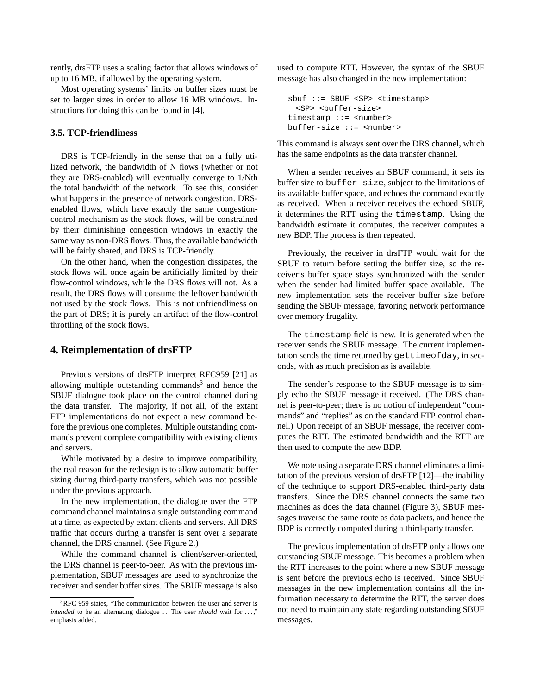rently, drsFTP uses a scaling factor that allows windows of up to 16 MB, if allowed by the operating system.

Most operating systems' limits on buffer sizes must be set to larger sizes in order to allow 16 MB windows. Instructions for doing this can be found in [4].

## **3.5. TCP-friendliness**

DRS is TCP-friendly in the sense that on a fully utilized network, the bandwidth of N flows (whether or not they are DRS-enabled) will eventually converge to 1/Nth the total bandwidth of the network. To see this, consider what happens in the presence of network congestion. DRSenabled flows, which have exactly the same congestioncontrol mechanism as the stock flows, will be constrained by their diminishing congestion windows in exactly the same way as non-DRS flows. Thus, the available bandwidth will be fairly shared, and DRS is TCP-friendly.

On the other hand, when the congestion dissipates, the stock flows will once again be artificially limited by their flow-control windows, while the DRS flows will not. As a result, the DRS flows will consume the leftover bandwidth not used by the stock flows. This is not unfriendliness on the part of DRS; it is purely an artifact of the flow-control throttling of the stock flows.

## **4. Reimplementation of drsFTP**

Previous versions of drsFTP interpret RFC959 [21] as allowing multiple outstanding commands $3$  and hence the SBUF dialogue took place on the control channel during the data transfer. The majority, if not all, of the extant FTP implementations do not expect a new command before the previous one completes. Multiple outstanding commands prevent complete compatibility with existing clients and servers.

While motivated by a desire to improve compatibility, the real reason for the redesign is to allow automatic buffer sizing during third-party transfers, which was not possible under the previous approach.

In the new implementation, the dialogue over the FTP command channel maintains a single outstanding command at a time, as expected by extant clients and servers. All DRS traffic that occurs during a transfer is sent over a separate channel, the DRS channel. (See Figure 2.)

While the command channel is client/server-oriented, the DRS channel is peer-to-peer. As with the previous implementation, SBUF messages are used to synchronize the receiver and sender buffer sizes. The SBUF message is also

used to compute RTT. However, the syntax of the SBUF message has also changed in the new implementation:

```
sbuf ::= SBUF <SP> <timestamp>
 <SP> <buffer-size>
timestamp ::= <number>
buffer-size ::= <number>
```
This command is always sent over the DRS channel, which has the same endpoints as the data transfer channel.

When a sender receives an SBUF command, it sets its buffer size to buffer-size, subject to the limitations of its available buffer space, and echoes the command exactly as received. When a receiver receives the echoed SBUF, it determines the RTT using the timestamp. Using the bandwidth estimate it computes, the receiver computes a new BDP. The process is then repeated.

Previously, the receiver in drsFTP would wait for the SBUF to return before setting the buffer size, so the receiver's buffer space stays synchronized with the sender when the sender had limited buffer space available. The new implementation sets the receiver buffer size before sending the SBUF message, favoring network performance over memory frugality.

The timestamp field is new. It is generated when the receiver sends the SBUF message. The current implementation sends the time returned by gettimeofday, in seconds, with as much precision as is available.

The sender's response to the SBUF message is to simply echo the SBUF message it received. (The DRS channel is peer-to-peer; there is no notion of independent "commands" and "replies" as on the standard FTP control channel.) Upon receipt of an SBUF message, the receiver computes the RTT. The estimated bandwidth and the RTT are then used to compute the new BDP.

We note using a separate DRS channel eliminates a limitation of the previous version of drsFTP [12]—the inability of the technique to support DRS-enabled third-party data transfers. Since the DRS channel connects the same two machines as does the data channel (Figure 3), SBUF messages traverse the same route as data packets, and hence the BDP is correctly computed during a third-party transfer.

The previous implementation of drsFTP only allows one outstanding SBUF message. This becomes a problem when the RTT increases to the point where a new SBUF message is sent before the previous echo is received. Since SBUF messages in the new implementation contains all the information necessary to determine the RTT, the server does not need to maintain any state regarding outstanding SBUF messages.

 $3$ RFC 959 states, "The communication between the user and server is *intended* to be an alternating dialogue ... The user *should* wait for ...," emphasis added.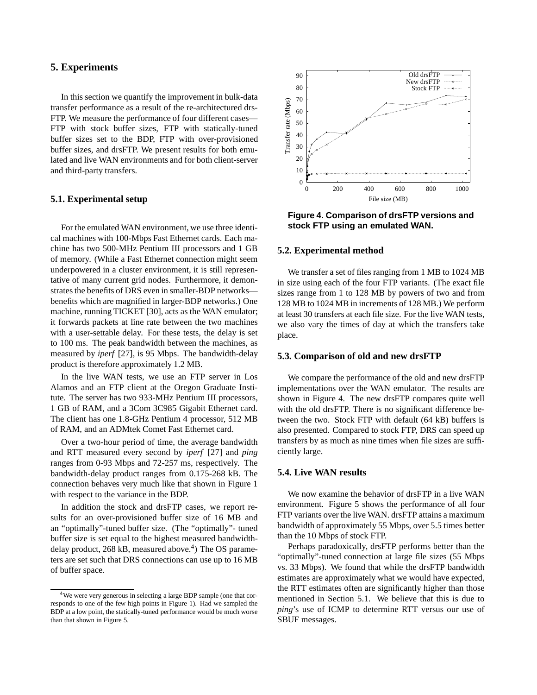## **5. Experiments**

In this section we quantify the improvement in bulk-data transfer performance as a result of the re-architectured drs-FTP. We measure the performance of four different cases— FTP with stock buffer sizes, FTP with statically-tuned buffer sizes set to the BDP, FTP with over-provisioned buffer sizes, and drsFTP. We present results for both emulated and live WAN environments and for both client-server and third-party transfers.

### **5.1. Experimental setup**

For the emulated WAN environment, we use three identical machines with 100-Mbps Fast Ethernet cards. Each machine has two 500-MHz Pentium III processors and 1 GB of memory. (While a Fast Ethernet connection might seem underpowered in a cluster environment, it is still representative of many current grid nodes. Furthermore, it demonstrates the benefits of DRS even in smaller-BDP networks benefits which are magnified in larger-BDP networks.) One machine, running TICKET [30], acts as the WAN emulator; it forwards packets at line rate between the two machines with a user-settable delay. For these tests, the delay is set to 100 ms. The peak bandwidth between the machines, as measured by *iperf* [27], is 95 Mbps. The bandwidth-delay product is therefore approximately 1.2 MB.

In the live WAN tests, we use an FTP server in Los Alamos and an FTP client at the Oregon Graduate Institute. The server has two 933-MHz Pentium III processors, 1 GB of RAM, and a 3Com 3C985 Gigabit Ethernet card. The client has one 1.8-GHz Pentium 4 processor, 512 MB of RAM, and an ADMtek Comet Fast Ethernet card.

Over a two-hour period of time, the average bandwidth and RTT measured every second by *iperf* [27] and *ping* ranges from 0-93 Mbps and 72-257 ms, respectively. The bandwidth-delay product ranges from 0.175-268 kB. The connection behaves very much like that shown in Figure 1 with respect to the variance in the BDP.

In addition the stock and drsFTP cases, we report results for an over-provisioned buffer size of 16 MB and an "optimally"-tuned buffer size. (The "optimally"- tuned buffer size is set equal to the highest measured bandwidthdelay product, 268 kB, measured above.<sup>4</sup>) The OS parameters are set such that DRS connections can use up to 16 MB of buffer space.



**Figure 4. Comparison of drsFTP versions and stock FTP using an emulated WAN.**

### **5.2. Experimental method**

We transfer a set of files ranging from 1 MB to 1024 MB in size using each of the four FTP variants. (The exact file sizes range from 1 to 128 MB by powers of two and from 128 MB to 1024 MB in increments of 128 MB.) We perform at least 30 transfers at each file size. For the live WAN tests, we also vary the times of day at which the transfers take place.

#### **5.3. Comparison of old and new drsFTP**

We compare the performance of the old and new drsFTP implementations over the WAN emulator. The results are shown in Figure 4. The new drsFTP compares quite well with the old drsFTP. There is no significant difference between the two. Stock FTP with default (64 kB) buffers is also presented. Compared to stock FTP, DRS can speed up transfers by as much as nine times when file sizes are sufficiently large.

### **5.4. Live WAN results**

We now examine the behavior of drsFTP in a live WAN environment. Figure 5 shows the performance of all four FTP variants over the live WAN. drsFTP attains a maximum bandwidth of approximately 55 Mbps, over 5.5 times better than the 10 Mbps of stock FTP.

Perhaps paradoxically, drsFTP performs better than the "optimally"-tuned connection at large file sizes (55 Mbps vs. 33 Mbps). We found that while the drsFTP bandwidth estimates are approximately what we would have expected, the RTT estimates often are significantly higher than those mentioned in Section 5.1. We believe that this is due to *ping*'s use of ICMP to determine RTT versus our use of SBUF messages.

<sup>4</sup>We were very generous in selecting a large BDP sample (one that corresponds to one of the few high points in Figure 1). Had we sampled the BDP at a low point, the statically-tuned performance would be much worse than that shown in Figure 5.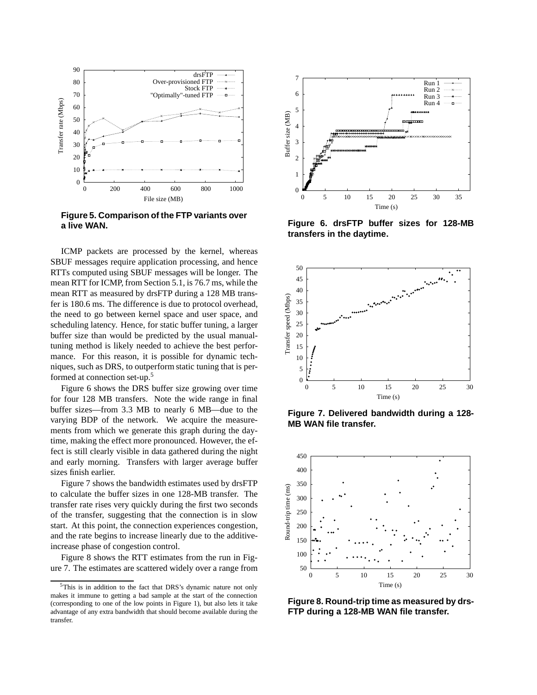

**Figure 5. Comparison of the FTP variants over a live WAN.**

ICMP packets are processed by the kernel, whereas SBUF messages require application processing, and hence RTTs computed using SBUF messages will be longer. The mean RTT for ICMP, from Section 5.1, is 76.7 ms, while the mean RTT as measured by drsFTP during a 128 MB transfer is 180.6 ms. The difference is due to protocol overhead, the need to go between kernel space and user space, and scheduling latency. Hence, for static buffer tuning, a larger buffer size than would be predicted by the usual manualtuning method is likely needed to achieve the best performance. For this reason, it is possible for dynamic techniques, such as DRS, to outperform static tuning that is performed at connection set-up.<sup>5</sup>

Figure 6 shows the DRS buffer size growing over time for four 128 MB transfers. Note the wide range in final buffer sizes—from 3.3 MB to nearly 6 MB—due to the varying BDP of the network. We acquire the measurements from which we generate this graph during the daytime, making the effect more pronounced. However, the effect is still clearly visible in data gathered during the night and early morning. Transfers with larger average buffer sizes finish earlier.

Figure 7 shows the bandwidth estimates used by drsFTP to calculate the buffer sizes in one 128-MB transfer. The transfer rate rises very quickly during the first two seconds of the transfer, suggesting that the connection is in slow start. At this point, the connection experiences congestion, and the rate begins to increase linearly due to the additiveincrease phase of congestion control.

Figure 8 shows the RTT estimates from the run in Figure 7. The estimates are scattered widely over a range from



**Figure 6. drsFTP buffer sizes for 128-MB transfers in the daytime.**



**Figure 7. Delivered bandwidth during a 128- MB WAN file transfer.**



**Figure 8. Round-trip time as measured by drs-FTP during a 128-MB WAN file transfer.**

<sup>5</sup>This is in addition to the fact that DRS's dynamic nature not only makes it immune to getting a bad sample at the start of the connection (corresponding to one of the low points in Figure 1), but also lets it take advantage of any extra bandwidth that should become available during the transfer.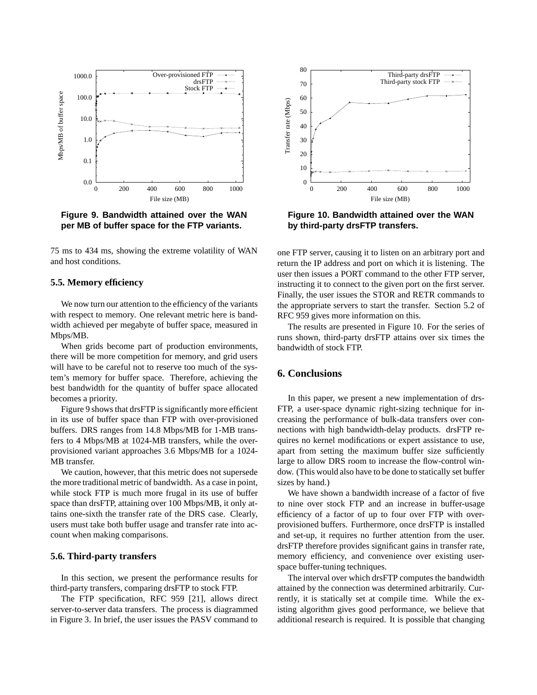

**Figure 9. Bandwidth attained over the WAN per MB of buffer space for the FTP variants.**

75 ms to 434 ms, showing the extreme volatility of WAN and host conditions.

### **5.5. Memory efficiency**

We now turn our attention to the efficiency of the variants with respect to memory. One relevant metric here is bandwidth achieved per megabyte of buffer space, measured in Mbps/MB.

When grids become part of production environments, there will be more competition for memory, and grid users will have to be careful not to reserve too much of the system's memory for buffer space. Therefore, achieving the best bandwidth for the quantity of buffer space allocated becomes a priority.

Figure 9 shows that drsFTP is significantly more efficient in its use of buffer space than FTP with over-provisioned buffers. DRS ranges from 14.8 Mbps/MB for 1-MB transfers to 4 Mbps/MB at 1024-MB transfers, while the overprovisioned variant approaches 3.6 Mbps/MB for a 1024- MB transfer.

We caution, however, that this metric does not supersede the more traditional metric of bandwidth. As a case in point, while stock FTP is much more frugal in its use of buffer space than drsFTP, attaining over 100 Mbps/MB, it only attains one-sixth the transfer rate of the DRS case. Clearly, users must take both buffer usage and transfer rate into account when making comparisons.

### **5.6. Third-party transfers**

In this section, we present the performance results for third-party transfers, comparing drsFTP to stock FTP.

The FTP specification, RFC 959 [21], allows direct server-to-server data transfers. The process is diagrammed in Figure 3. In brief, the user issues the PASV command to



**Figure 10. Bandwidth attained over the WAN by third-party drsFTP transfers.**

one FTP server, causing it to listen on an arbitrary port and return the IP address and port on which it is listening. The user then issues a PORT command to the other FTP server, instructing it to connect to the given port on the first server. Finally, the user issues the STOR and RETR commands to the appropriate servers to start the transfer. Section 5.2 of RFC 959 gives more information on this.

The results are presented in Figure 10. For the series of runs shown, third-party drsFTP attains over six times the bandwidth of stock FTP.

# **6. Conclusions**

In this paper, we present a new implementation of drs-FTP, a user-space dynamic right-sizing technique for increasing the performance of bulk-data transfers over connections with high bandwidth-delay products. drsFTP requires no kernel modifications or expert assistance to use, apart from setting the maximum buffer size sufficiently large to allow DRS room to increase the flow-control window. (This would also have to be done to statically set buffer sizes by hand.)

We have shown a bandwidth increase of a factor of five to nine over stock FTP and an increase in buffer-usage efficiency of a factor of up to four over FTP with overprovisioned buffers. Furthermore, once drsFTP is installed and set-up, it requires no further attention from the user. drsFTP therefore provides significant gains in transfer rate, memory efficiency, and convenience over existing userspace buffer-tuning techniques.

The interval over which drsFTP computes the bandwidth attained by the connection was determined arbitrarily. Currently, it is statically set at compile time. While the existing algorithm gives good performance, we believe that additional research is required. It is possible that changing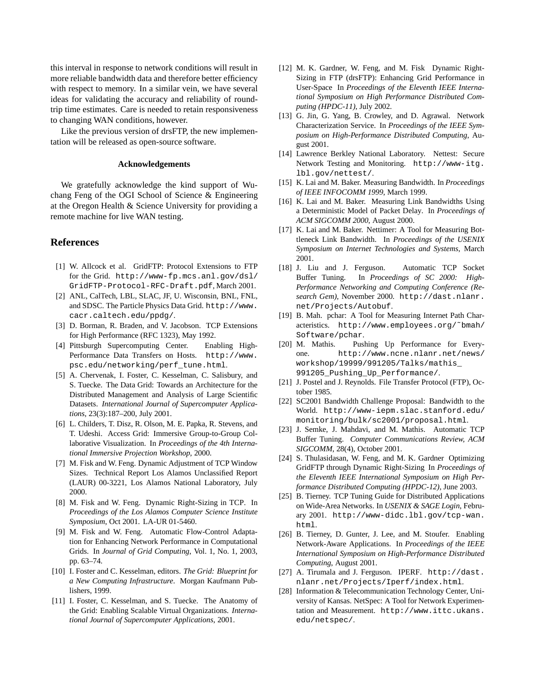this interval in response to network conditions will result in more reliable bandwidth data and therefore better efficiency with respect to memory. In a similar vein, we have several ideas for validating the accuracy and reliability of roundtrip time estimates. Care is needed to retain responsiveness to changing WAN conditions, however.

Like the previous version of drsFTP, the new implementation will be released as open-source software.

### **Acknowledgements**

We gratefully acknowledge the kind support of Wuchang Feng of the OGI School of Science & Engineering at the Oregon Health & Science University for providing a remote machine for live WAN testing.

### **References**

- [1] W. Allcock et al. GridFTP: Protocol Extensions to FTP for the Grid. http://www-fp.mcs.anl.gov/dsl/ GridFTP-Protocol-RFC-Draft.pdf, March 2001.
- [2] ANL, CalTech, LBL, SLAC, JF, U. Wisconsin, BNL, FNL, and SDSC. The Particle Physics Data Grid. http://www. cacr.caltech.edu/ppdg/.
- [3] D. Borman, R. Braden, and V. Jacobson. TCP Extensions for High Performance (RFC 1323), May 1992.
- [4] Pittsburgh Supercomputing Center. Enabling High-Performance Data Transfers on Hosts. http://www. psc.edu/networking/perf\_tune.html.
- [5] A. Chervenak, I. Foster, C. Kesselman, C. Salisbury, and S. Tuecke. The Data Grid: Towards an Architecture for the Distributed Management and Analysis of Large Scientific Datasets. *International Journal of Supercomputer Applications*, 23(3):187–200, July 2001.
- [6] L. Childers, T. Disz, R. Olson, M. E. Papka, R. Stevens, and T. Udeshi. Access Grid: Immersive Group-to-Group Collaborative Visualization. In *Proceedings of the 4th International Immersive Projection Workshop*, 2000.
- [7] M. Fisk and W. Feng. Dynamic Adjustment of TCP Window Sizes. Technical Report Los Alamos Unclassified Report (LAUR) 00-3221, Los Alamos National Laboratory, July 2000.
- [8] M. Fisk and W. Feng. Dynamic Right-Sizing in TCP. In *Proceedings of the Los Alamos Computer Science Institute Symposium*, Oct 2001. LA-UR 01-5460.
- [9] M. Fisk and W. Feng. Automatic Flow-Control Adaptation for Enhancing Network Performance in Computational Grids. In *Journal of Grid Computing*, Vol. 1, No. 1, 2003, pp. 63–74.
- [10] I. Foster and C. Kesselman, editors. *The Grid: Blueprint for a New Computing Infrastructure*. Morgan Kaufmann Publishers, 1999.
- [11] I. Foster, C. Kesselman, and S. Tuecke. The Anatomy of the Grid: Enabling Scalable Virtual Organizations. *International Journal of Supercomputer Applications*, 2001.
- [12] M. K. Gardner, W. Feng, and M. Fisk Dynamic Right-Sizing in FTP (drsFTP): Enhancing Grid Performance in User-Space In *Proceedings of the Eleventh IEEE International Symposium on High Performance Distributed Computing (HPDC-11)*, July 2002.
- [13] G. Jin, G. Yang, B. Crowley, and D. Agrawal. Network Characterization Service. In *Proceedings of the IEEE Symposium on High-Performance Distributed Computing*, August 2001.
- [14] Lawrence Berkley National Laboratory. Nettest: Secure Network Testing and Monitoring. http://www-itg. lbl.gov/nettest/.
- [15] K. Lai and M. Baker. Measuring Bandwidth. In *Proceedings of IEEE INFOCOMM 1999*, March 1999.
- [16] K. Lai and M. Baker. Measuring Link Bandwidths Using a Deterministic Model of Packet Delay. In *Proceedings of ACM SIGCOMM 2000*, August 2000.
- [17] K. Lai and M. Baker. Nettimer: A Tool for Measuring Bottleneck Link Bandwidth. In *Proceedings of the USENIX Symposium on Internet Technologies and Systems*, March 2001.
- [18] J. Liu and J. Ferguson. Automatic TCP Socket Buffer Tuning. In *Proceedings of SC 2000: High-Performance Networking and Computing Conference (Research Gem)*, November 2000. http://dast.nlanr. net/Projects/Autobuf.
- [19] B. Mah. pchar: A Tool for Measuring Internet Path Characteristics. http://www.employees.org/˜bmah/ Software/pchar.
- [20] M. Mathis. Pushing Up Performance for Everyone. http://www.ncne.nlanr.net/news/ workshop/19999/991205/Talks/mathis\_ 991205\_Pushing\_Up\_Performance/.
- [21] J. Postel and J. Reynolds. File Transfer Protocol (FTP), October 1985.
- [22] SC2001 Bandwidth Challenge Proposal: Bandwidth to the World. http://www-iepm.slac.stanford.edu/ monitoring/bulk/sc2001/proposal.html.
- [23] J. Semke, J. Mahdavi, and M. Mathis. Automatic TCP Buffer Tuning. *Computer Communications Review, ACM SIGCOMM*, 28(4), October 2001.
- [24] S. Thulasidasan, W. Feng, and M. K. Gardner Optimizing GridFTP through Dynamic Right-Sizing In *Proceedings of the Eleventh IEEE International Symposium on High Performance Distributed Computing (HPDC-12)*, June 2003.
- [25] B. Tierney. TCP Tuning Guide for Distributed Applications on Wide-Area Networks. In *USENIX & SAGE Login*, February 2001. http://www-didc.lbl.gov/tcp-wan. html.
- [26] B. Tierney, D. Gunter, J. Lee, and M. Stoufer. Enabling Network-Aware Applications. In *Proceedings of the IEEE International Symposium on High-Performance Distributed Computing*, August 2001.
- [27] A. Tirumala and J. Ferguson. IPERF. http://dast. nlanr.net/Projects/Iperf/index.html.
- [28] Information & Telecommunication Technology Center, University of Kansas. NetSpec: A Tool for Network Experimentation and Measurement. http://www.ittc.ukans. edu/netspec/.